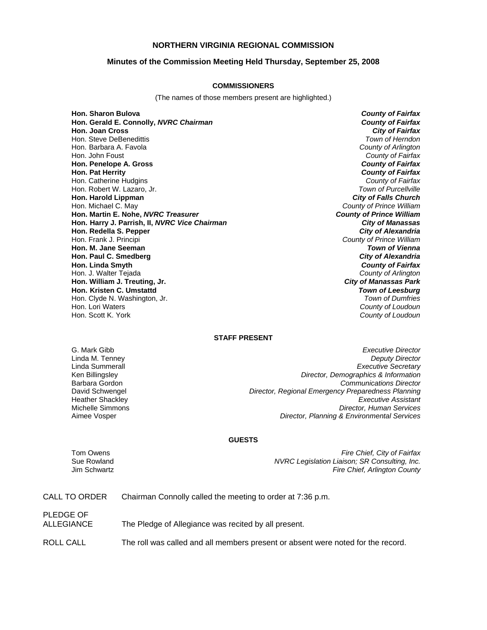## **NORTHERN VIRGINIA REGIONAL COMMISSION**

### **Minutes of the Commission Meeting Held Thursday, September 25, 2008**

#### **COMMISSIONERS**

(The names of those members present are highlighted.)

**Hon. Sharon Bulova** *County of Fairfax* **Hon. Gerald E. Connolly,** *NVRC Chairman County of Fairfax* **Hon. Joan Cross** Hon. Steve DeBenedittis *Town of Herndon* Hon. Barbara A. Favola *County of Arlington* Hon. John Foust *County of Fairfax* **Hon. Penelope A. Gross** *County of Fairfax* **Hon. Pat Herrity** *County of Fairfax* Hon. Catherine Hudgins *County of Fairfax* Hon. Robert W. Lazaro, Jr. *Town of Purcellville* **Hon. Harold Lippman** Hon. Michael C. May *County of Prince William* **Hon. Martin E. Nohe,** *NVRC Treasurer* **Hon. Harry J. Parrish, II,** *NVRC Vice Chairman City of Manassas* **Hon. Redella S. Pepper** *City of Alexandria* Hon. Frank J. Principi *County of Prince William* **Hon. M. Jane Seeman** *Town of Vienna* **Hon. Paul C. Smedberg** *City of Alexandria* **Hon. Linda Smyth** *County of Fairfax* Hon. J. Walter Tejada *County of Arlington* **Hon. William J. Treuting, Jr.** *City of Manassas Park* **Hon. Kristen C. Umstattd** *Town of Leesburg* Hon. Clyde N. Washington, Jr. Hon. Lori Waters *County of Loudoun*

Hon. Scott K. York *County of Loudoun*

#### **STAFF PRESENT**

G. Mark Gibb *Executive Director* Linda M. Tenney *Deputy Director* **Executive Secretary** Ken Billingsley *Director, Demographics & Information* Barbara Gordon *Communications Director* David Schwengel *Director, Regional Emergency Preparedness Planning* Heather Shackley *Executive Assistant* Michelle Simmons *Director, Human Services* **Director, Planning & Environmental Services** 

#### **GUESTS**

PLEDGE OF

Tom Owens *Fire Chief, City of Fairfax* Sue Rowland *NVRC Legislation Liaison; SR Consulting, Inc.* Jim Schwartz *Fire Chief, Arlington County*

| CALL TO ORDER | Chairman Connolly called the meeting to order at 7:36 p.m. |  |  |
|---------------|------------------------------------------------------------|--|--|
|               |                                                            |  |  |

ALLEGIANCE The Pledge of Allegiance was recited by all present.

ROLL CALL The roll was called and all members present or absent were noted for the record.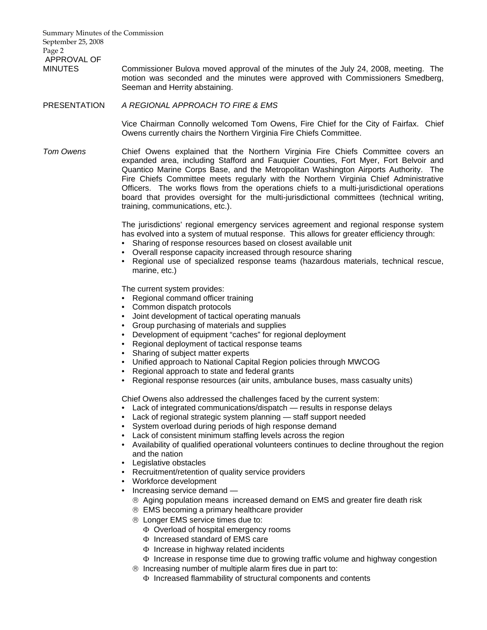Summary Minutes of the Commission September 25, 2008 Page 2 APPROVAL OF

MINUTES Commissioner Bulova moved approval of the minutes of the July 24, 2008, meeting. The motion was seconded and the minutes were approved with Commissioners Smedberg, Seeman and Herrity abstaining.

## PRESENTATION *A REGIONAL APPROACH TO FIRE & EMS*

Vice Chairman Connolly welcomed Tom Owens, Fire Chief for the City of Fairfax. Chief Owens currently chairs the Northern Virginia Fire Chiefs Committee.

*Tom Owens* Chief Owens explained that the Northern Virginia Fire Chiefs Committee covers an expanded area, including Stafford and Fauquier Counties, Fort Myer, Fort Belvoir and Quantico Marine Corps Base, and the Metropolitan Washington Airports Authority. The Fire Chiefs Committee meets regularly with the Northern Virginia Chief Administrative Officers. The works flows from the operations chiefs to a multi-jurisdictional operations board that provides oversight for the multi-jurisdictional committees (technical writing, training, communications, etc.).

> The jurisdictions' regional emergency services agreement and regional response system has evolved into a system of mutual response. This allows for greater efficiency through:

- Sharing of response resources based on closest available unit
- Overall response capacity increased through resource sharing
- Regional use of specialized response teams (hazardous materials, technical rescue, marine, etc.)

The current system provides:

- Regional command officer training
- Common dispatch protocols
- Joint development of tactical operating manuals
- Group purchasing of materials and supplies
- Development of equipment "caches" for regional deployment
- Regional deployment of tactical response teams
- Sharing of subject matter experts
- Unified approach to National Capital Region policies through MWCOG
- Regional approach to state and federal grants
- Regional response resources (air units, ambulance buses, mass casualty units)

Chief Owens also addressed the challenges faced by the current system:

- Lack of integrated communications/dispatch results in response delays
- Lack of regional strategic system planning staff support needed
- System overload during periods of high response demand
- Lack of consistent minimum staffing levels across the region
- Availability of qualified operational volunteers continues to decline throughout the region and the nation
- Legislative obstacles
- Recruitment/retention of quality service providers
- Workforce development
- Increasing service demand
	- ® Aging population means increased demand on EMS and greater fire death risk
	- ® EMS becoming a primary healthcare provider
	- ® Longer EMS service times due to:
		- Φ Overload of hospital emergency rooms
		- Φ Increased standard of EMS care
		- Φ Increase in highway related incidents
		- Φ Increase in response time due to growing traffic volume and highway congestion
	- ® Increasing number of multiple alarm fires due in part to:
		- Φ Increased flammability of structural components and contents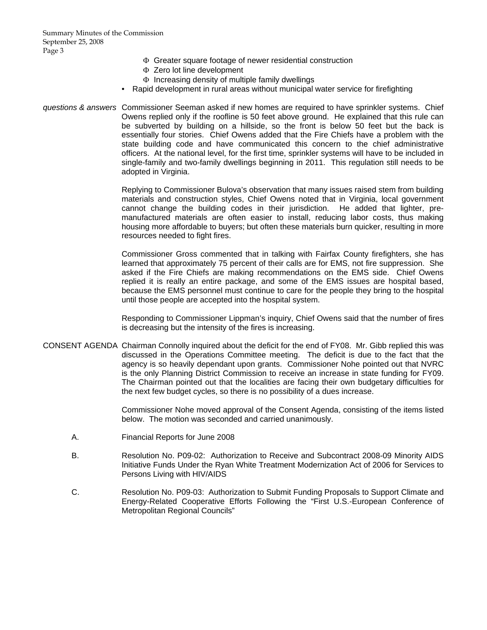- Φ Greater square footage of newer residential construction
- Φ Zero lot line development
- Φ Increasing density of multiple family dwellings
- Rapid development in rural areas without municipal water service for firefighting
- *questions & answers* Commissioner Seeman asked if new homes are required to have sprinkler systems. Chief Owens replied only if the roofline is 50 feet above ground. He explained that this rule can be subverted by building on a hillside, so the front is below 50 feet but the back is essentially four stories. Chief Owens added that the Fire Chiefs have a problem with the state building code and have communicated this concern to the chief administrative officers. At the national level, for the first time, sprinkler systems will have to be included in single-family and two-family dwellings beginning in 2011. This regulation still needs to be adopted in Virginia.

Replying to Commissioner Bulova's observation that many issues raised stem from building materials and construction styles, Chief Owens noted that in Virginia, local government cannot change the building codes in their jurisdiction. He added that lighter, premanufactured materials are often easier to install, reducing labor costs, thus making housing more affordable to buyers; but often these materials burn quicker, resulting in more resources needed to fight fires.

Commissioner Gross commented that in talking with Fairfax County firefighters, she has learned that approximately 75 percent of their calls are for EMS, not fire suppression. She asked if the Fire Chiefs are making recommendations on the EMS side. Chief Owens replied it is really an entire package, and some of the EMS issues are hospital based, because the EMS personnel must continue to care for the people they bring to the hospital until those people are accepted into the hospital system.

Responding to Commissioner Lippman's inquiry, Chief Owens said that the number of fires is decreasing but the intensity of the fires is increasing.

CONSENT AGENDA Chairman Connolly inquired about the deficit for the end of FY08. Mr. Gibb replied this was discussed in the Operations Committee meeting. The deficit is due to the fact that the agency is so heavily dependant upon grants. Commissioner Nohe pointed out that NVRC is the only Planning District Commission to receive an increase in state funding for FY09. The Chairman pointed out that the localities are facing their own budgetary difficulties for the next few budget cycles, so there is no possibility of a dues increase.

> Commissioner Nohe moved approval of the Consent Agenda, consisting of the items listed below. The motion was seconded and carried unanimously.

- A. Financial Reports for June 2008
- B. Resolution No. P09-02: Authorization to Receive and Subcontract 2008-09 Minority AIDS Initiative Funds Under the Ryan White Treatment Modernization Act of 2006 for Services to Persons Living with HIV/AIDS
- C. Resolution No. P09-03: Authorization to Submit Funding Proposals to Support Climate and Energy-Related Cooperative Efforts Following the "First U.S.-European Conference of Metropolitan Regional Councils"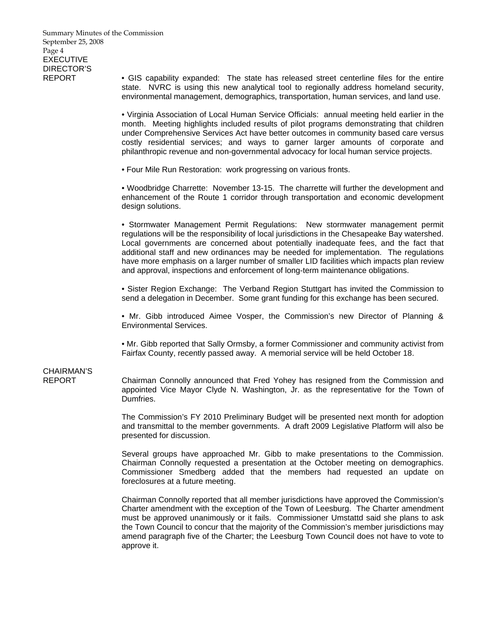REPORT • GIS capability expanded: The state has released street centerline files for the entire state. NVRC is using this new analytical tool to regionally address homeland security, environmental management, demographics, transportation, human services, and land use.

> • Virginia Association of Local Human Service Officials: annual meeting held earlier in the month. Meeting highlights included results of pilot programs demonstrating that children under Comprehensive Services Act have better outcomes in community based care versus costly residential services; and ways to garner larger amounts of corporate and philanthropic revenue and non-governmental advocacy for local human service projects.

• Four Mile Run Restoration: work progressing on various fronts.

• Woodbridge Charrette: November 13-15. The charrette will further the development and enhancement of the Route 1 corridor through transportation and economic development design solutions.

• Stormwater Management Permit Regulations: New stormwater management permit regulations will be the responsibility of local jurisdictions in the Chesapeake Bay watershed. Local governments are concerned about potentially inadequate fees, and the fact that additional staff and new ordinances may be needed for implementation. The regulations have more emphasis on a larger number of smaller LID facilities which impacts plan review and approval, inspections and enforcement of long-term maintenance obligations.

• Sister Region Exchange: The Verband Region Stuttgart has invited the Commission to send a delegation in December. Some grant funding for this exchange has been secured.

• Mr. Gibb introduced Aimee Vosper, the Commission's new Director of Planning & Environmental Services.

• Mr. Gibb reported that Sally Ormsby, a former Commissioner and community activist from Fairfax County, recently passed away. A memorial service will be held October 18.

# CHAIRMAN'S

REPORT Chairman Connolly announced that Fred Yohey has resigned from the Commission and appointed Vice Mayor Clyde N. Washington, Jr. as the representative for the Town of Dumfries.

> The Commission's FY 2010 Preliminary Budget will be presented next month for adoption and transmittal to the member governments. A draft 2009 Legislative Platform will also be presented for discussion.

> Several groups have approached Mr. Gibb to make presentations to the Commission. Chairman Connolly requested a presentation at the October meeting on demographics. Commissioner Smedberg added that the members had requested an update on foreclosures at a future meeting.

> Chairman Connolly reported that all member jurisdictions have approved the Commission's Charter amendment with the exception of the Town of Leesburg. The Charter amendment must be approved unanimously or it fails. Commissioner Umstattd said she plans to ask the Town Council to concur that the majority of the Commission's member jurisdictions may amend paragraph five of the Charter; the Leesburg Town Council does not have to vote to approve it.